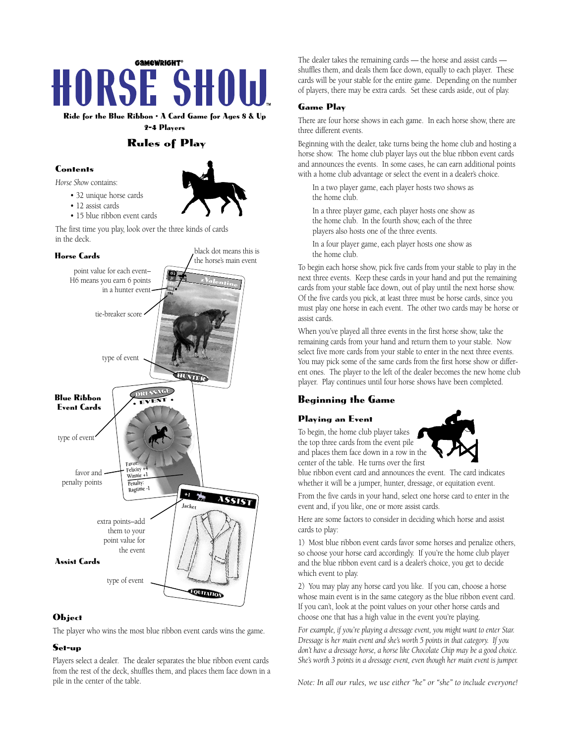

**Ride for the Blue Ribbon** • **A Card Game for Ages 8 & Up 2-4 Players** 

# **Rules of Play**

## **Contents**

*Horse Show* contains:

- 32 unique horse cards
- 12 assist cards
- 15 blue ribbon event cards

The first time you play, look over the three kinds of cards in the deck.



## **Object**

The player who wins the most blue ribbon event cards wins the game.

## **Set-up**

Players select a dealer. The dealer separates the blue ribbon event cards from the rest of the deck, shuffles them, and places them face down in a pile in the center of the table.

The dealer takes the remaining cards — the horse and assist cards shuffles them, and deals them face down, equally to each player. These cards will be your stable for the entire game. Depending on the number of players, there may be extra cards. Set these cards aside, out of play.

## **Game Play**

There are four horse shows in each game. In each horse show, there are three different events.

Beginning with the dealer, take turns being the home club and hosting a horse show. The home club player lays out the blue ribbon event cards and announces the events. In some cases, he can earn additional points with a home club advantage or select the event in a dealer's choice.

In a two player game, each player hosts two shows as the home club.

In a three player game, each player hosts one show as the home club. In the fourth show, each of the three players also hosts one of the three events.

In a four player game, each player hosts one show as the home club.

To begin each horse show, pick five cards from your stable to play in the next three events. Keep these cards in your hand and put the remaining cards from your stable face down, out of play until the next horse show. Of the five cards you pick, at least three must be horse cards, since you must play one horse in each event. The other two cards may be horse or assist cards.

When you've played all three events in the first horse show, take the remaining cards from your hand and return them to your stable. Now select five more cards from your stable to enter in the next three events. You may pick some of the same cards from the first horse show or different ones. The player to the left of the dealer becomes the new home club player. Play continues until four horse shows have been completed.

# **Beginning the Game**

## **Playing an Event**

To begin, the home club player takes the top three cards from the event pile and places them face down in a row in the center of the table. He turns over the first



blue ribbon event card and announces the event. The card indicates whether it will be a jumper, hunter, dressage, or equitation event.

From the five cards in your hand, select one horse card to enter in the event and, if you like, one or more assist cards.

Here are some factors to consider in deciding which horse and assist cards to play:

1) Most blue ribbon event cards favor some horses and penalize others, so choose your horse card accordingly. If you're the home club player and the blue ribbon event card is a dealer's choice, you get to decide which event to play.

2) You may play any horse card you like. If you can, choose a horse whose main event is in the same category as the blue ribbon event card. If you can't, look at the point values on your other horse cards and choose one that has a high value in the event you're playing.

*For example, if you're playing a dressage event, you might want to enter Star. Dressage is her main event and she's worth 5 points in that category. If you don't have a dressage horse, a horse like Chocolate Chip may be a good choice. She's worth 3 points in a dressage event, even though her main event is jumper.*

*Note: In all our rules, we use either "he" or "she" to include everyone!*